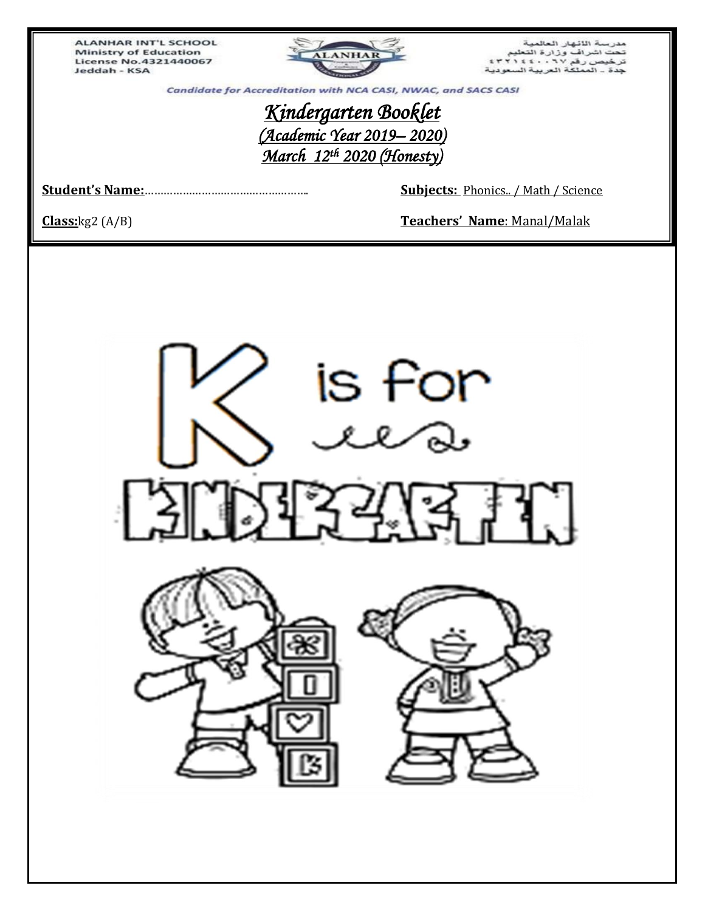ALANHAR INT'L SCHOOL **Ministry of Education License No.4321440067** Jeddah - KSA



مدرسة اللثهار العالمية<br>تحت اشراف وزارة التعليم<br>ترخيص رفم ٦٧ . ٤٤٠٠ 1 ٢٣١٤<br>جدة ـ المملكة العربية السعودية

Candidate for Accreditation with NCA CASI, NWAC, and SACS CASI

*Kindergarten Booklet (Academic Year 2019– 2020) March 12th 2020 (Honesty)* 

**Student's Name:**……………………………………………. **Subjects:** Phonics.. / Math / Science

**Class:**kg2 (A/B) **Teachers' Name**: Manal/Malak

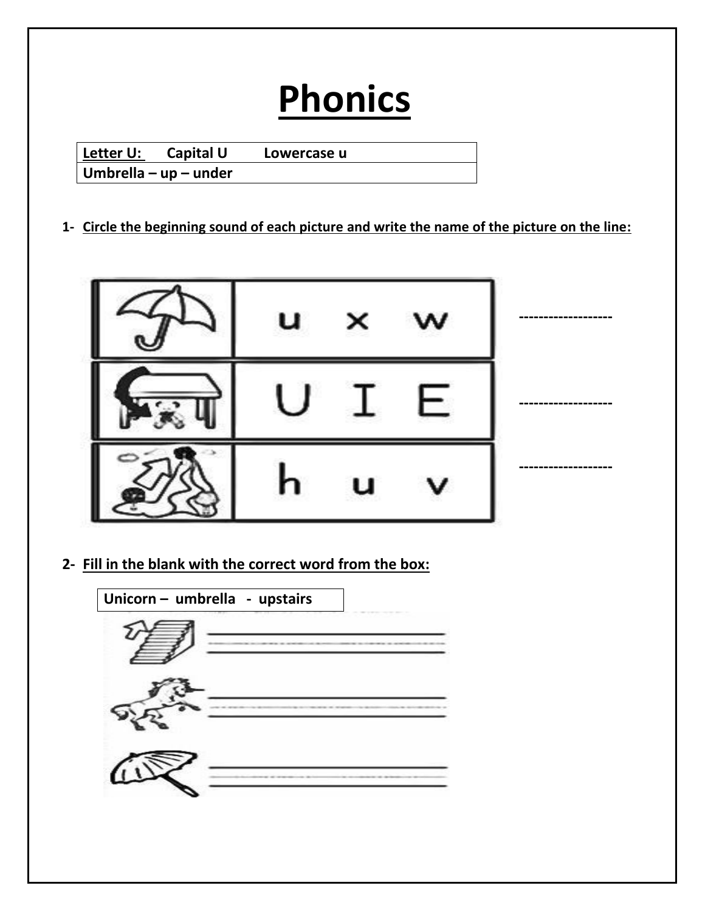# **Phonics**

| l <u>Lette</u> r U: | Capital U                     | Lowercase u |  |
|---------------------|-------------------------------|-------------|--|
|                     | $\vert$ Umbrella – up – under |             |  |

#### **1- Circle the beginning sound of each picture and write the name of the picture on the line:**



**2- Fill in the blank with the correct word from the box:**

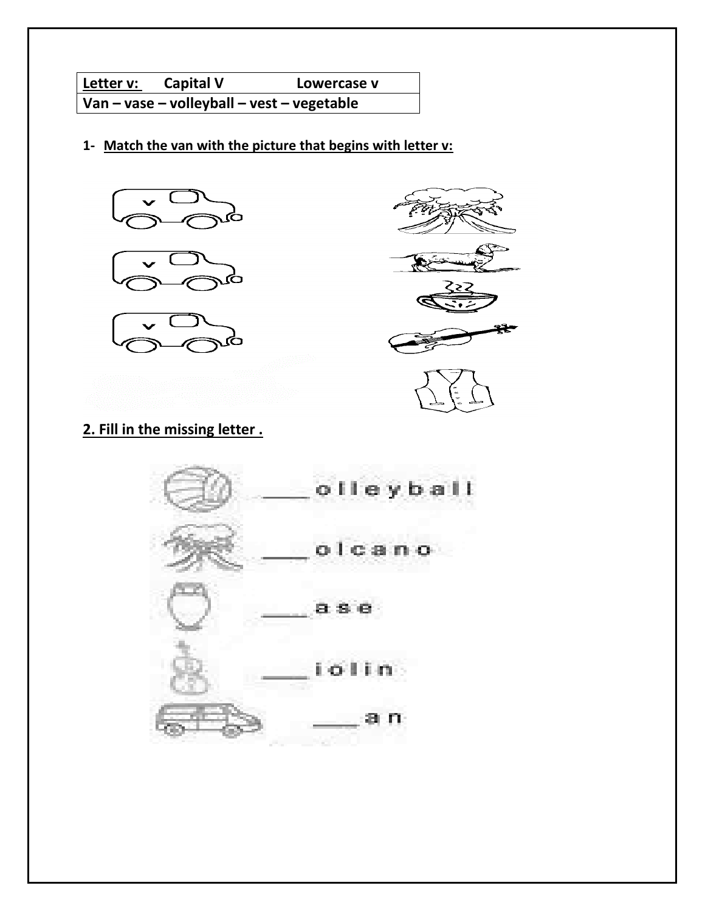**Letter v:** Capital V Lowercase v - **Van – vase – volleyball – vest – vegetable** 

**1- Match the van with the picture that begins with letter v:**





### **2. Fill in the missing letter .**

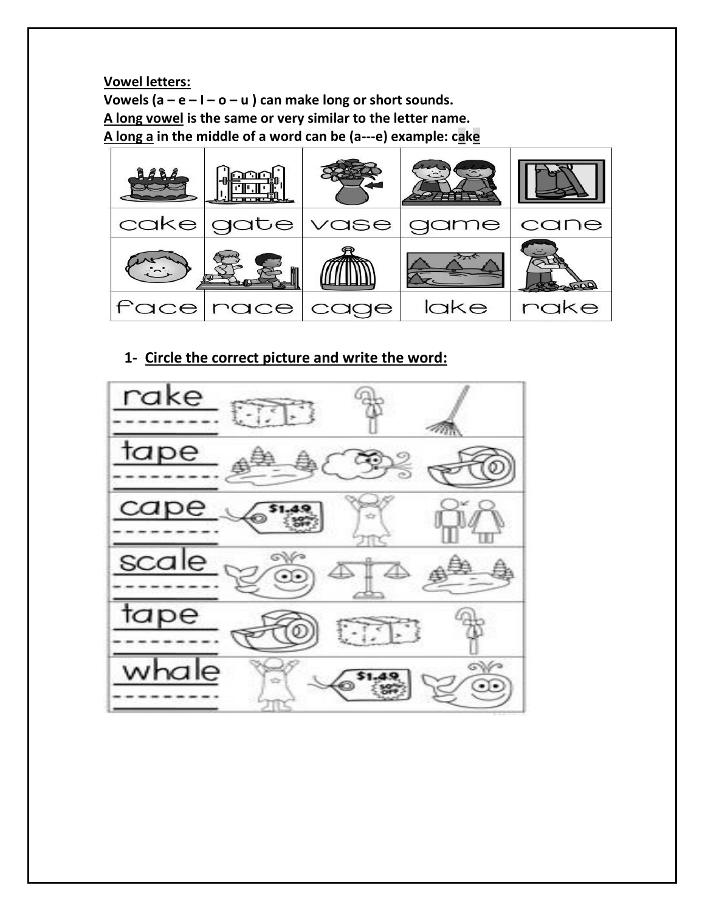**Vowel letters: Vowels (a – e – I – o – u ) can make long or short sounds. A long vowel is the same or very similar to the letter name. A long a in the middle of a word can be (a---e) example: cake**



#### **1- Circle the correct picture and write the word:**

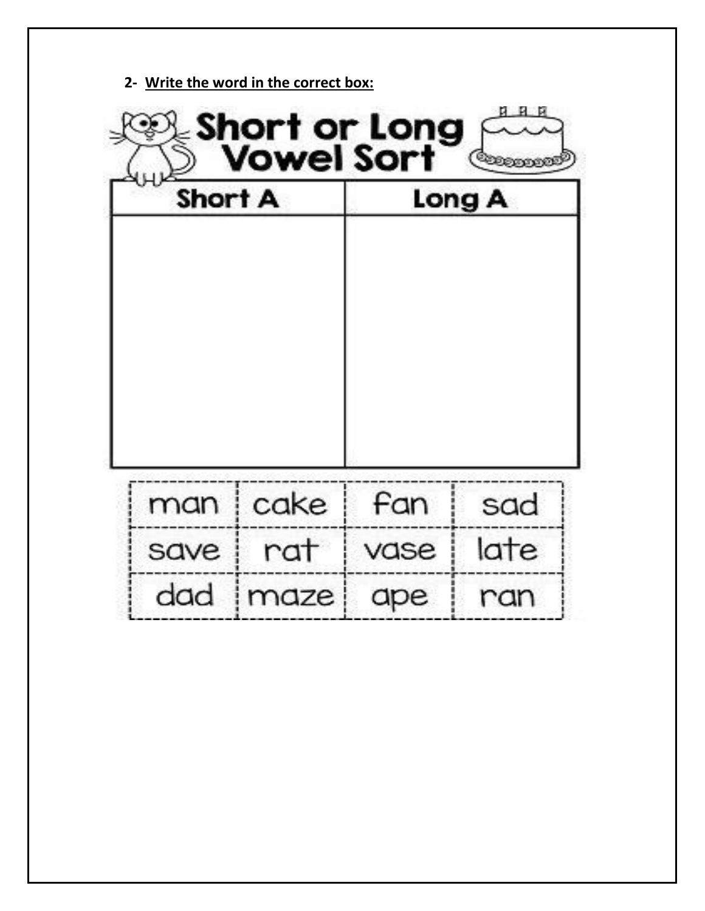|      | <b>Short A</b> |      | Long A |
|------|----------------|------|--------|
|      |                |      |        |
|      |                |      |        |
|      | man   cake     | fan  | sad    |
| save | rat            | vase | late   |

**2- Write the word in the correct box:**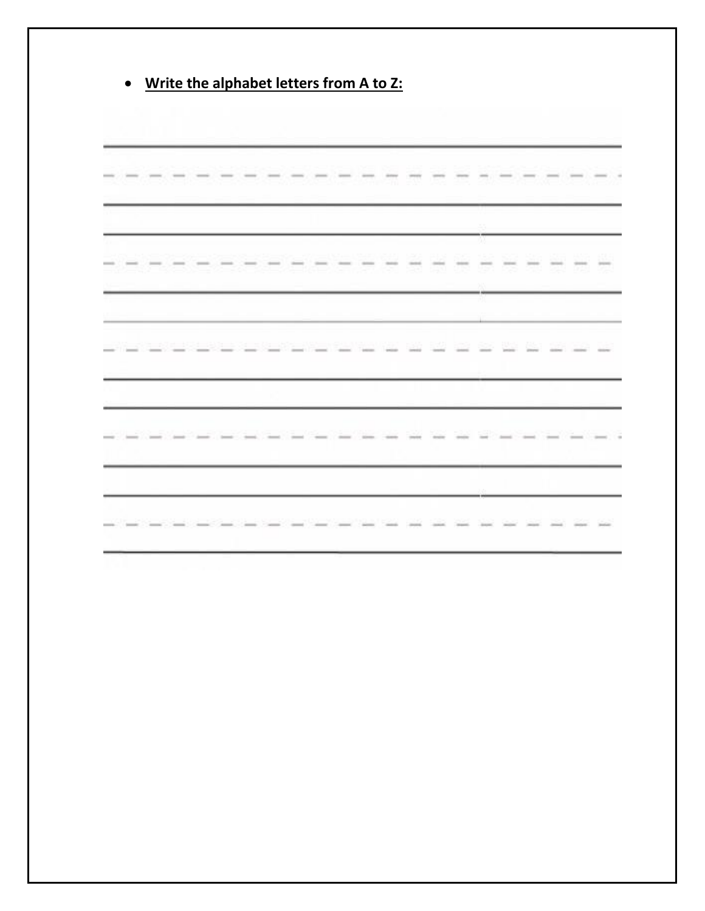|  |  |  |  |  |  |  | 93 |  |  |  |
|--|--|--|--|--|--|--|----|--|--|--|
|  |  |  |  |  |  |  |    |  |  |  |
|  |  |  |  |  |  |  |    |  |  |  |
|  |  |  |  |  |  |  |    |  |  |  |
|  |  |  |  |  |  |  |    |  |  |  |
|  |  |  |  |  |  |  |    |  |  |  |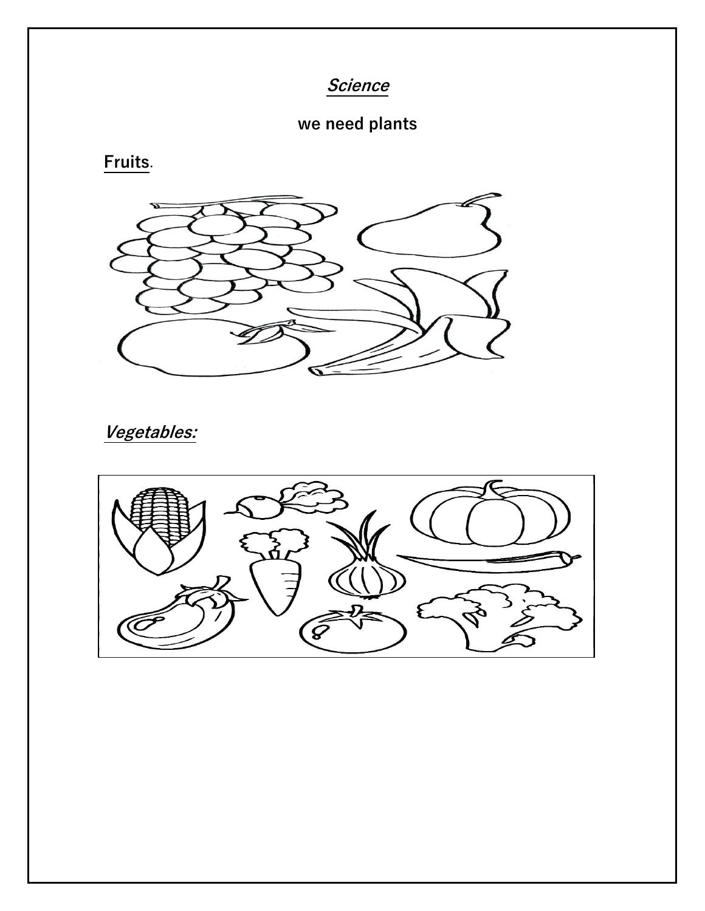**Science** 

## **we need plants**

**Fruits**.



**Vegetables:**

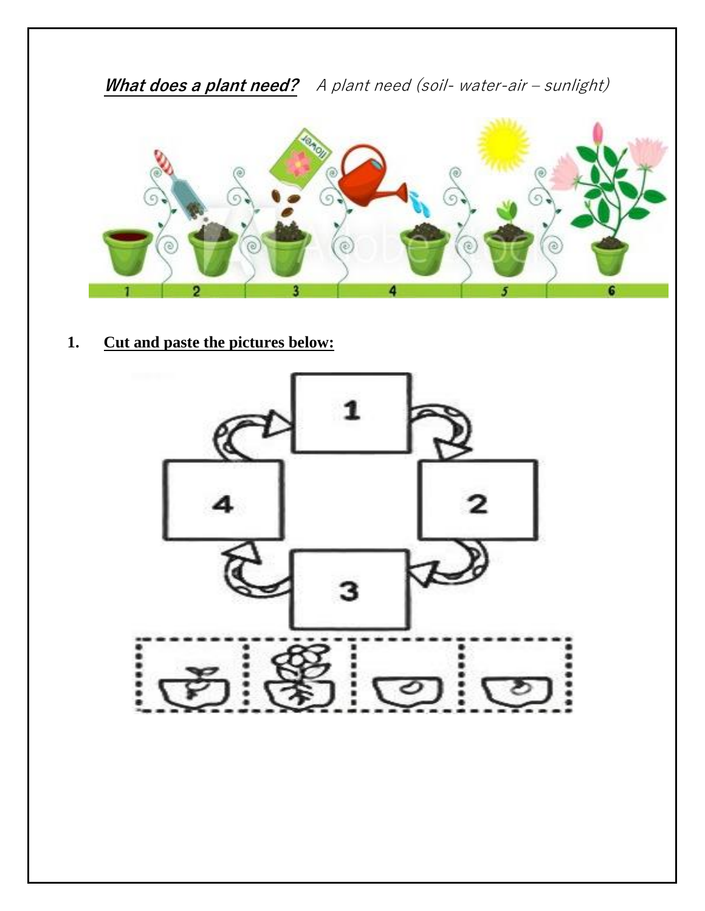

**1. Cut and paste the pictures below:**